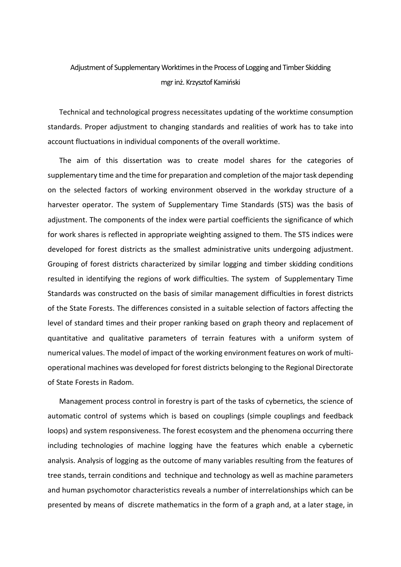## Adjustment of Supplementary Worktimes in the Process of Logging and Timber Skidding mgr inż. Krzysztof Kamiński

Technical and technological progress necessitates updating of the worktime consumption standards. Proper adjustment to changing standards and realities of work has to take into account fluctuations in individual components of the overall worktime.

The aim of this dissertation was to create model shares for the categories of supplementary time and the time for preparation and completion of the major task depending on the selected factors of working environment observed in the workday structure of a harvester operator. The system of Supplementary Time Standards (STS) was the basis of adjustment. The components of the index were partial coefficients the significance of which for work shares is reflected in appropriate weighting assigned to them. The STS indices were developed for forest districts as the smallest administrative units undergoing adjustment. Grouping of forest districts characterized by similar logging and timber skidding conditions resulted in identifying the regions of work difficulties. The system of Supplementary Time Standards was constructed on the basis of similar management difficulties in forest districts of the State Forests. The differences consisted in a suitable selection of factors affecting the level of standard times and their proper ranking based on graph theory and replacement of quantitative and qualitative parameters of terrain features with a uniform system of numerical values. The model of impact of the working environment features on work of multioperational machines was developed for forest districts belonging to the Regional Directorate of State Forests in Radom.

Management process control in forestry is part of the tasks of cybernetics, the science of automatic control of systems which is based on couplings (simple couplings and feedback loops) and system responsiveness. The forest ecosystem and the phenomena occurring there including technologies of machine logging have the features which enable a cybernetic analysis. Analysis of logging as the outcome of many variables resulting from the features of tree stands, terrain conditions and technique and technology as well as machine parameters and human psychomotor characteristics reveals a number of interrelationships which can be presented by means of discrete mathematics in the form of a graph and, at a later stage, in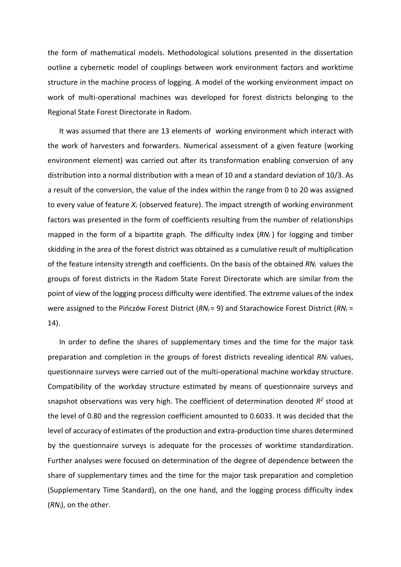the form of mathematical models. Methodological solutions presented in the dissertation outline a cybernetic model of couplings between work environment factors and worktime structure in the machine process of logging. A model of the working environment impact on work of multi-operational machines was developed for forest districts belonging to the Regional State Forest Directorate in Radom.

It was assumed that there are 13 elements of working environment which interact with the work of harvesters and forwarders. Numerical assessment of a given feature (working environment element) was carried out after its transformation enabling conversion of any distribution into a normal distribution with a mean of 10 and a standard deviation of 10/3. As a result of the conversion, the value of the index within the range from 0 to 20 was assigned to every value of feature *X<sup>i</sup>* (observed feature). The impact strength of working environment factors was presented in the form of coefficients resulting from the number of relationships mapped in the form of a bipartite graph. The difficulty index (*RN<sup>i</sup>* ) for logging and timber skidding in the area of the forest district was obtained as a cumulative result of multiplication of the feature intensity strength and coefficients. On the basis of the obtained *RN<sup>i</sup>* values the groups of forest districts in the Radom State Forest Directorate which are similar from the point of view of the logging process difficulty were identified. The extreme values of the index were assigned to the Pińczów Forest District (*RN<sup>i</sup>* = 9) and Starachowice Forest District (*RN<sup>i</sup>* = 14).

In order to define the shares of supplementary times and the time for the major task preparation and completion in the groups of forest districts revealing identical *RN<sup>i</sup>* values, questionnaire surveys were carried out of the multi-operational machine workday structure. Compatibility of the workday structure estimated by means of questionnaire surveys and snapshot observations was very high. The coefficient of determination denoted  $R^2$  stood at the level of 0.80 and the regression coefficient amounted to 0.6033. It was decided that the level of accuracy of estimates of the production and extra-production time shares determined by the questionnaire surveys is adequate for the processes of worktime standardization. Further analyses were focused on determination of the degree of dependence between the share of supplementary times and the time for the major task preparation and completion (Supplementary Time Standard), on the one hand, and the logging process difficulty index (*RNi*), on the other.